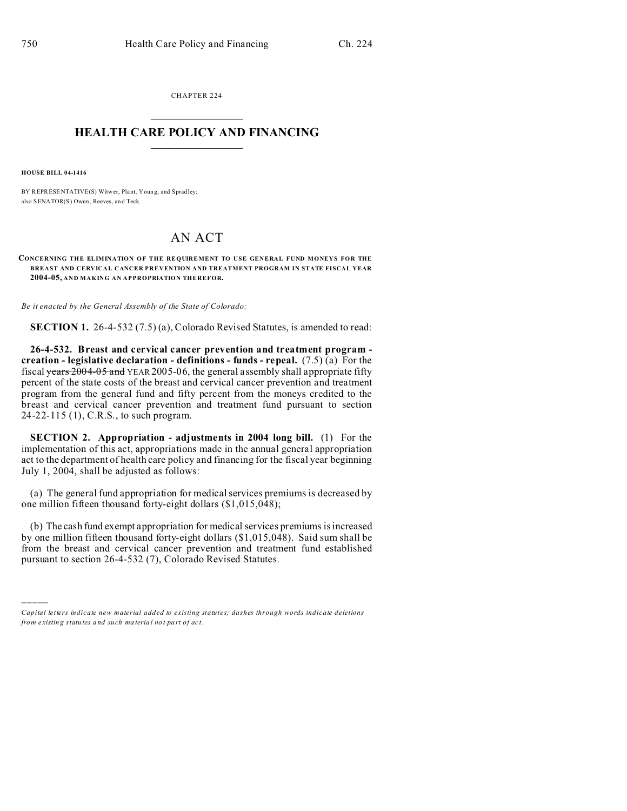CHAPTER 224  $\overline{\phantom{a}}$  , where  $\overline{\phantom{a}}$ 

## **HEALTH CARE POLICY AND FINANCING**  $\_$   $\_$   $\_$   $\_$   $\_$   $\_$   $\_$   $\_$

**HOUSE BILL 04-1416**

)))))

BY REPRESENTATIVE(S) Witwer, Plant, Young, and Spradley; also SENATOR(S) Owen, Reeves, an d Teck.

## AN ACT

**CONCERNING THE ELIMINATION OF THE REQUIREMENT TO USE GENERAL FUND MONEYS FOR THE BREAST AND CERVICAL CANCER PREVENTION AND TREATMENT PROGRAM IN STATE FISCAL YEAR 2004-05, AND MAKING AN APPROPRIATION THEREFOR.**

*Be it enacted by the General Assembly of the State of Colorado:*

**SECTION 1.** 26-4-532 (7.5) (a), Colorado Revised Statutes, is amended to read:

**26-4-532. Breast and cervical cancer prevention and treatment program creation - legislative declaration - definitions - funds - repeal.** (7.5) (a) For the fiscal years  $2004-05$  and YEAR 2005-06, the general assembly shall appropriate fifty percent of the state costs of the breast and cervical cancer prevention and treatment program from the general fund and fifty percent from the moneys credited to the breast and cervical cancer prevention and treatment fund pursuant to section 24-22-115 (1), C.R.S., to such program.

**SECTION 2. Appropriation - adjustments in 2004 long bill.** (1) For the implementation of this act, appropriations made in the annual general appropriation act to the department of health care policy and financing for the fiscal year beginning July 1, 2004, shall be adjusted as follows:

(a) The general fund appropriation for medical services premiums is decreased by one million fifteen thousand forty-eight dollars (\$1,015,048);

(b) The cash fund exempt appropriation for medical services premiums is increased by one million fifteen thousand forty-eight dollars (\$1,015,048). Said sum shall be from the breast and cervical cancer prevention and treatment fund established pursuant to section 26-4-532 (7), Colorado Revised Statutes.

*Capital letters indicate new material added to existing statutes; dashes through words indicate deletions from e xistin g statu tes a nd such ma teria l no t pa rt of ac t.*